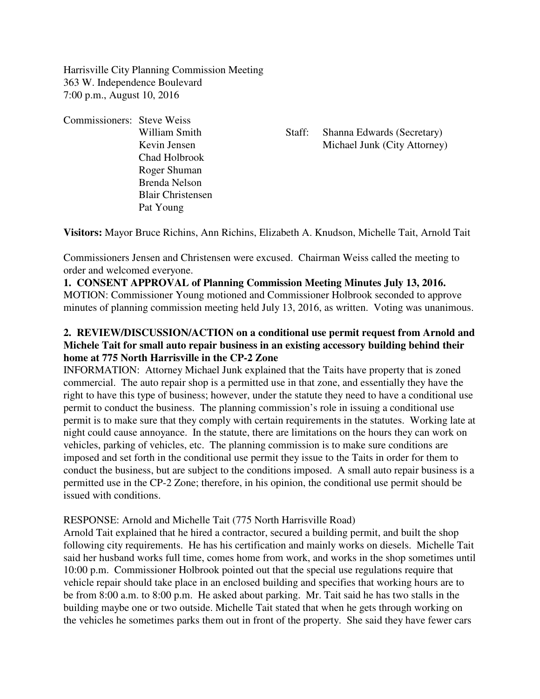Harrisville City Planning Commission Meeting 363 W. Independence Boulevard 7:00 p.m., August 10, 2016

Commissioners: Steve Weiss Chad Holbrook Roger Shuman Brenda Nelson Blair Christensen Pat Young

William Smith Staff: Shanna Edwards (Secretary) Kevin Jensen Michael Junk (City Attorney)

**Visitors:** Mayor Bruce Richins, Ann Richins, Elizabeth A. Knudson, Michelle Tait, Arnold Tait

Commissioners Jensen and Christensen were excused. Chairman Weiss called the meeting to order and welcomed everyone.

# **1. CONSENT APPROVAL of Planning Commission Meeting Minutes July 13, 2016.** MOTION: Commissioner Young motioned and Commissioner Holbrook seconded to approve minutes of planning commission meeting held July 13, 2016, as written. Voting was unanimous.

# **2. REVIEW/DISCUSSION/ACTION on a conditional use permit request from Arnold and Michele Tait for small auto repair business in an existing accessory building behind their home at 775 North Harrisville in the CP-2 Zone**

INFORMATION: Attorney Michael Junk explained that the Taits have property that is zoned commercial. The auto repair shop is a permitted use in that zone, and essentially they have the right to have this type of business; however, under the statute they need to have a conditional use permit to conduct the business. The planning commission's role in issuing a conditional use permit is to make sure that they comply with certain requirements in the statutes. Working late at night could cause annoyance. In the statute, there are limitations on the hours they can work on vehicles, parking of vehicles, etc. The planning commission is to make sure conditions are imposed and set forth in the conditional use permit they issue to the Taits in order for them to conduct the business, but are subject to the conditions imposed. A small auto repair business is a permitted use in the CP-2 Zone; therefore, in his opinion, the conditional use permit should be issued with conditions.

## RESPONSE: Arnold and Michelle Tait (775 North Harrisville Road)

Arnold Tait explained that he hired a contractor, secured a building permit, and built the shop following city requirements. He has his certification and mainly works on diesels. Michelle Tait said her husband works full time, comes home from work, and works in the shop sometimes until 10:00 p.m. Commissioner Holbrook pointed out that the special use regulations require that vehicle repair should take place in an enclosed building and specifies that working hours are to be from 8:00 a.m. to 8:00 p.m. He asked about parking. Mr. Tait said he has two stalls in the building maybe one or two outside. Michelle Tait stated that when he gets through working on the vehicles he sometimes parks them out in front of the property. She said they have fewer cars